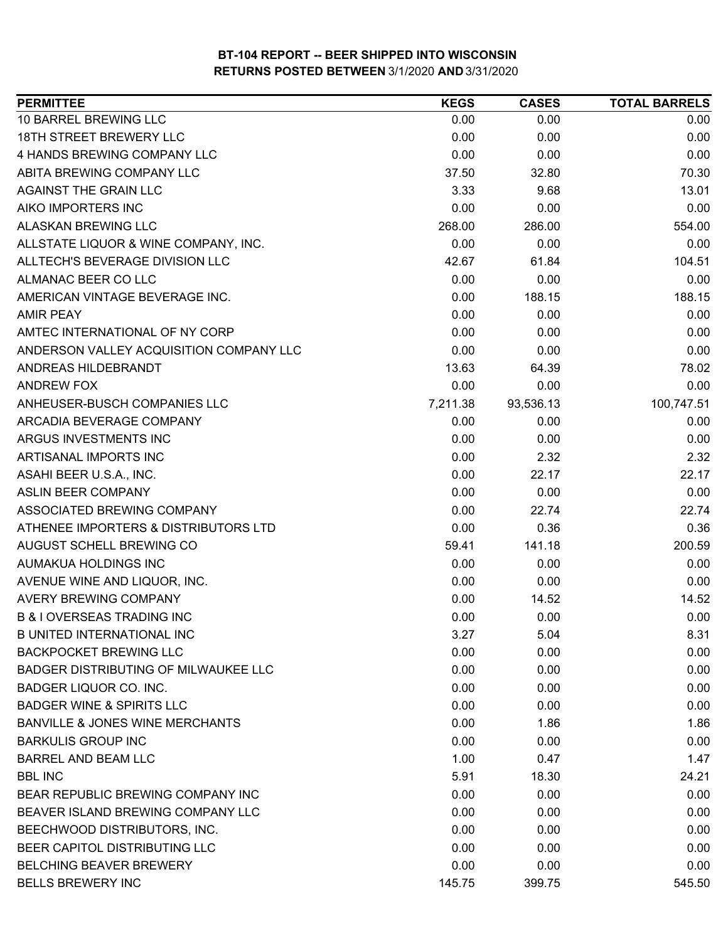| <b>PERMITTEE</b>                            | <b>KEGS</b> | <b>CASES</b> | <b>TOTAL BARRELS</b> |
|---------------------------------------------|-------------|--------------|----------------------|
| 10 BARREL BREWING LLC                       | 0.00        | 0.00         | 0.00                 |
| 18TH STREET BREWERY LLC                     | 0.00        | 0.00         | 0.00                 |
| 4 HANDS BREWING COMPANY LLC                 | 0.00        | 0.00         | 0.00                 |
| ABITA BREWING COMPANY LLC                   | 37.50       | 32.80        | 70.30                |
| <b>AGAINST THE GRAIN LLC</b>                | 3.33        | 9.68         | 13.01                |
| AIKO IMPORTERS INC                          | 0.00        | 0.00         | 0.00                 |
| ALASKAN BREWING LLC                         | 268.00      | 286.00       | 554.00               |
| ALLSTATE LIQUOR & WINE COMPANY, INC.        | 0.00        | 0.00         | 0.00                 |
| ALLTECH'S BEVERAGE DIVISION LLC             | 42.67       | 61.84        | 104.51               |
| ALMANAC BEER CO LLC                         | 0.00        | 0.00         | 0.00                 |
| AMERICAN VINTAGE BEVERAGE INC.              | 0.00        | 188.15       | 188.15               |
| <b>AMIR PEAY</b>                            | 0.00        | 0.00         | 0.00                 |
| AMTEC INTERNATIONAL OF NY CORP              | 0.00        | 0.00         | 0.00                 |
| ANDERSON VALLEY ACQUISITION COMPANY LLC     | 0.00        | 0.00         | 0.00                 |
| ANDREAS HILDEBRANDT                         | 13.63       | 64.39        | 78.02                |
| <b>ANDREW FOX</b>                           | 0.00        | 0.00         | 0.00                 |
| ANHEUSER-BUSCH COMPANIES LLC                | 7,211.38    | 93,536.13    | 100,747.51           |
| ARCADIA BEVERAGE COMPANY                    | 0.00        | 0.00         | 0.00                 |
| ARGUS INVESTMENTS INC                       | 0.00        | 0.00         | 0.00                 |
| ARTISANAL IMPORTS INC                       | 0.00        | 2.32         | 2.32                 |
| ASAHI BEER U.S.A., INC.                     | 0.00        | 22.17        | 22.17                |
| <b>ASLIN BEER COMPANY</b>                   | 0.00        | 0.00         | 0.00                 |
| ASSOCIATED BREWING COMPANY                  | 0.00        | 22.74        | 22.74                |
| ATHENEE IMPORTERS & DISTRIBUTORS LTD        | 0.00        | 0.36         | 0.36                 |
| AUGUST SCHELL BREWING CO                    | 59.41       | 141.18       | 200.59               |
| AUMAKUA HOLDINGS INC                        | 0.00        | 0.00         | 0.00                 |
| AVENUE WINE AND LIQUOR, INC.                | 0.00        | 0.00         | 0.00                 |
| <b>AVERY BREWING COMPANY</b>                | 0.00        | 14.52        | 14.52                |
| <b>B &amp; I OVERSEAS TRADING INC</b>       | 0.00        | 0.00         | 0.00                 |
| <b>B UNITED INTERNATIONAL INC</b>           | 3.27        | 5.04         | 8.31                 |
| <b>BACKPOCKET BREWING LLC</b>               | 0.00        | 0.00         | 0.00                 |
| <b>BADGER DISTRIBUTING OF MILWAUKEE LLC</b> | 0.00        | 0.00         | 0.00                 |
| <b>BADGER LIQUOR CO. INC.</b>               | 0.00        | 0.00         | 0.00                 |
| <b>BADGER WINE &amp; SPIRITS LLC</b>        | 0.00        | 0.00         | 0.00                 |
| <b>BANVILLE &amp; JONES WINE MERCHANTS</b>  | 0.00        | 1.86         | 1.86                 |
| <b>BARKULIS GROUP INC</b>                   | 0.00        | 0.00         | 0.00                 |
| <b>BARREL AND BEAM LLC</b>                  | 1.00        | 0.47         | 1.47                 |
| <b>BBL INC</b>                              | 5.91        | 18.30        | 24.21                |
| BEAR REPUBLIC BREWING COMPANY INC           | 0.00        | 0.00         | 0.00                 |
| BEAVER ISLAND BREWING COMPANY LLC           | 0.00        | 0.00         | 0.00                 |
| BEECHWOOD DISTRIBUTORS, INC.                | 0.00        | 0.00         | 0.00                 |
| BEER CAPITOL DISTRIBUTING LLC               | 0.00        | 0.00         | 0.00                 |
| <b>BELCHING BEAVER BREWERY</b>              | 0.00        | 0.00         | 0.00                 |
| <b>BELLS BREWERY INC</b>                    | 145.75      | 399.75       | 545.50               |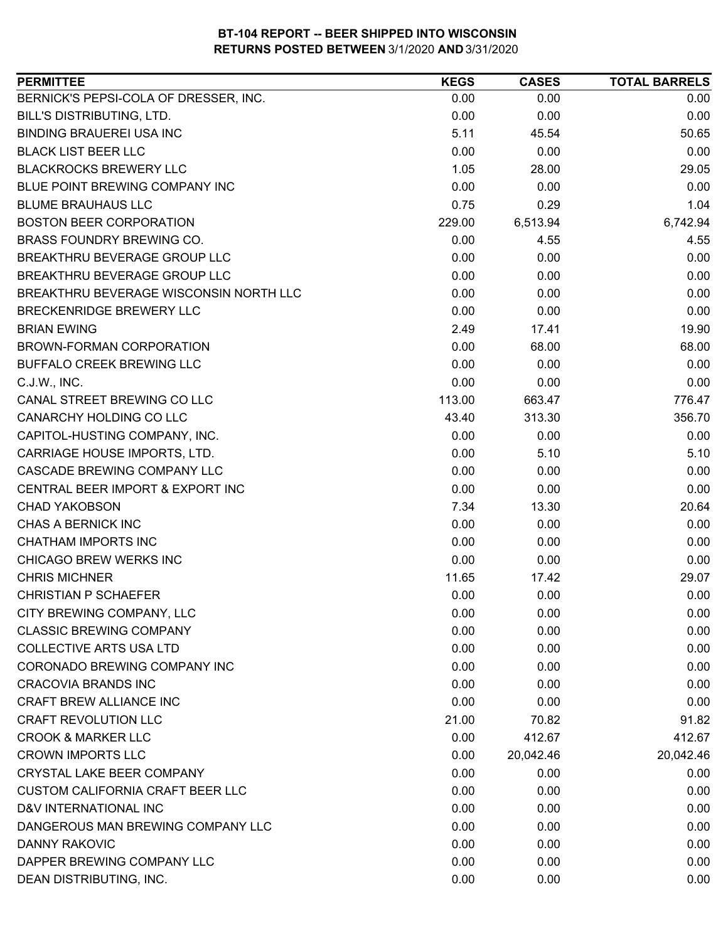| <b>PERMITTEE</b>                        | <b>KEGS</b> | <b>CASES</b> | <b>TOTAL BARRELS</b> |
|-----------------------------------------|-------------|--------------|----------------------|
| BERNICK'S PEPSI-COLA OF DRESSER, INC.   | 0.00        | 0.00         | 0.00                 |
| <b>BILL'S DISTRIBUTING, LTD.</b>        | 0.00        | 0.00         | 0.00                 |
| <b>BINDING BRAUEREI USA INC</b>         | 5.11        | 45.54        | 50.65                |
| <b>BLACK LIST BEER LLC</b>              | 0.00        | 0.00         | 0.00                 |
| <b>BLACKROCKS BREWERY LLC</b>           | 1.05        | 28.00        | 29.05                |
| BLUE POINT BREWING COMPANY INC          | 0.00        | 0.00         | 0.00                 |
| <b>BLUME BRAUHAUS LLC</b>               | 0.75        | 0.29         | 1.04                 |
| <b>BOSTON BEER CORPORATION</b>          | 229.00      | 6,513.94     | 6,742.94             |
| <b>BRASS FOUNDRY BREWING CO.</b>        | 0.00        | 4.55         | 4.55                 |
| BREAKTHRU BEVERAGE GROUP LLC            | 0.00        | 0.00         | 0.00                 |
| BREAKTHRU BEVERAGE GROUP LLC            | 0.00        | 0.00         | 0.00                 |
| BREAKTHRU BEVERAGE WISCONSIN NORTH LLC  | 0.00        | 0.00         | 0.00                 |
| <b>BRECKENRIDGE BREWERY LLC</b>         | 0.00        | 0.00         | 0.00                 |
| <b>BRIAN EWING</b>                      | 2.49        | 17.41        | 19.90                |
| <b>BROWN-FORMAN CORPORATION</b>         | 0.00        | 68.00        | 68.00                |
| <b>BUFFALO CREEK BREWING LLC</b>        | 0.00        | 0.00         | 0.00                 |
| C.J.W., INC.                            | 0.00        | 0.00         | 0.00                 |
| CANAL STREET BREWING CO LLC             | 113.00      | 663.47       | 776.47               |
| CANARCHY HOLDING CO LLC                 | 43.40       | 313.30       | 356.70               |
| CAPITOL-HUSTING COMPANY, INC.           | 0.00        | 0.00         | 0.00                 |
| CARRIAGE HOUSE IMPORTS, LTD.            | 0.00        | 5.10         | 5.10                 |
| CASCADE BREWING COMPANY LLC             | 0.00        | 0.00         | 0.00                 |
| CENTRAL BEER IMPORT & EXPORT INC        | 0.00        | 0.00         | 0.00                 |
| <b>CHAD YAKOBSON</b>                    | 7.34        | 13.30        | 20.64                |
| CHAS A BERNICK INC                      | 0.00        | 0.00         | 0.00                 |
| <b>CHATHAM IMPORTS INC</b>              | 0.00        | 0.00         | 0.00                 |
| CHICAGO BREW WERKS INC                  | 0.00        | 0.00         | 0.00                 |
| <b>CHRIS MICHNER</b>                    | 11.65       | 17.42        | 29.07                |
| <b>CHRISTIAN P SCHAEFER</b>             | 0.00        | 0.00         | 0.00                 |
| CITY BREWING COMPANY, LLC               | 0.00        | 0.00         | 0.00                 |
| <b>CLASSIC BREWING COMPANY</b>          | 0.00        | 0.00         | 0.00                 |
| <b>COLLECTIVE ARTS USA LTD</b>          | 0.00        | 0.00         | 0.00                 |
| CORONADO BREWING COMPANY INC            | 0.00        | 0.00         | 0.00                 |
| <b>CRACOVIA BRANDS INC</b>              | 0.00        | 0.00         | 0.00                 |
| CRAFT BREW ALLIANCE INC                 | 0.00        | 0.00         | 0.00                 |
| <b>CRAFT REVOLUTION LLC</b>             | 21.00       | 70.82        | 91.82                |
| <b>CROOK &amp; MARKER LLC</b>           | 0.00        | 412.67       | 412.67               |
| <b>CROWN IMPORTS LLC</b>                | 0.00        | 20,042.46    | 20,042.46            |
| <b>CRYSTAL LAKE BEER COMPANY</b>        | 0.00        | 0.00         | 0.00                 |
| <b>CUSTOM CALIFORNIA CRAFT BEER LLC</b> | 0.00        | 0.00         | 0.00                 |
| D&V INTERNATIONAL INC                   | 0.00        | 0.00         | 0.00                 |
| DANGEROUS MAN BREWING COMPANY LLC       | 0.00        | 0.00         | 0.00                 |
| DANNY RAKOVIC                           | 0.00        | 0.00         | 0.00                 |
| DAPPER BREWING COMPANY LLC              | 0.00        | 0.00         | 0.00                 |
| DEAN DISTRIBUTING, INC.                 | 0.00        | 0.00         | 0.00                 |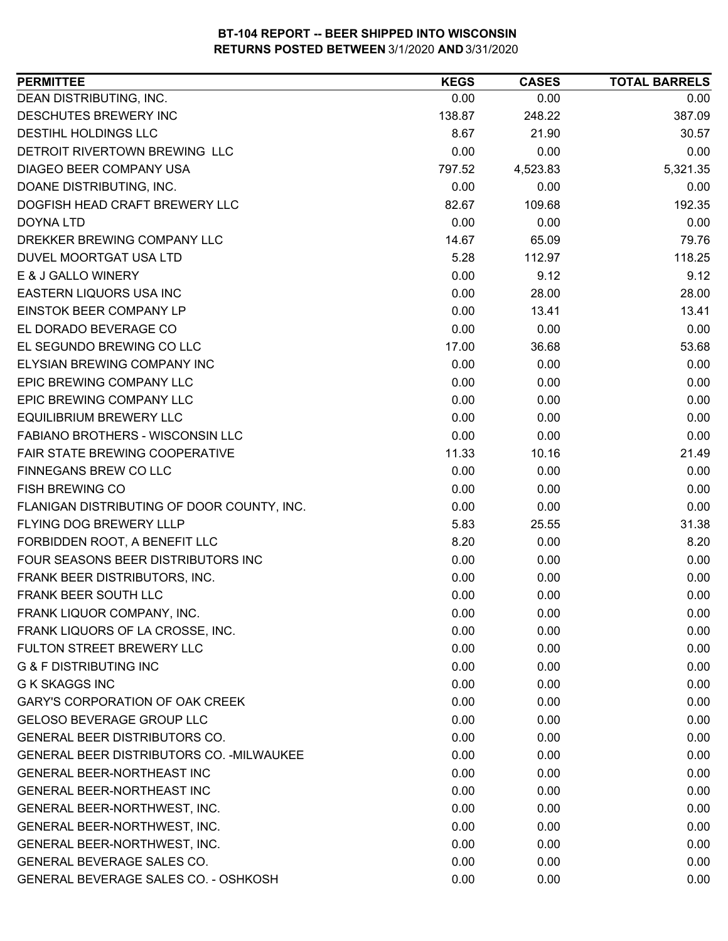| 0.00<br>0.00<br>0.00<br>138.87<br>248.22<br>387.09<br>8.67<br>21.90<br>30.57<br>0.00<br>0.00<br>0.00<br>4,523.83<br>5,321.35<br>797.52<br>0.00<br>0.00<br>0.00<br>109.68<br>192.35<br>82.67<br>0.00<br>0.00<br>0.00<br>14.67<br>79.76<br>65.09<br>5.28<br>118.25<br>112.97<br>0.00<br>9.12<br>9.12<br>28.00<br>0.00<br>28.00<br>0.00<br>13.41<br>13.41<br>0.00<br>0.00<br>0.00<br>17.00<br>36.68<br>53.68<br>0.00<br>0.00<br>0.00<br>0.00<br>0.00<br>0.00<br>0.00<br>0.00<br>0.00<br>0.00<br>0.00<br>0.00<br>0.00<br>0.00<br>0.00<br>11.33<br>10.16<br>21.49<br>0.00<br>0.00<br>0.00<br>0.00<br>0.00<br>0.00<br>0.00<br>0.00<br>0.00<br>5.83<br>31.38<br>25.55<br>8.20<br>8.20<br>0.00<br>0.00<br>0.00<br>0.00<br>0.00<br>0.00<br>0.00<br>0.00<br>0.00<br>0.00<br>0.00<br>0.00<br>0.00<br>0.00<br>0.00<br>0.00<br>0.00<br>0.00<br>0.00<br>0.00<br>0.00<br>0.00<br>0.00<br>0.00<br>0.00<br>0.00<br>0.00<br>0.00<br>0.00<br>0.00<br>0.00<br>0.00<br>0.00<br>0.00<br>0.00<br>0.00<br>0.00<br>0.00<br>0.00<br>0.00 | <b>PERMITTEE</b>                                 | <b>KEGS</b> | <b>CASES</b> | <b>TOTAL BARRELS</b> |
|----------------------------------------------------------------------------------------------------------------------------------------------------------------------------------------------------------------------------------------------------------------------------------------------------------------------------------------------------------------------------------------------------------------------------------------------------------------------------------------------------------------------------------------------------------------------------------------------------------------------------------------------------------------------------------------------------------------------------------------------------------------------------------------------------------------------------------------------------------------------------------------------------------------------------------------------------------------------------------------------------------------|--------------------------------------------------|-------------|--------------|----------------------|
|                                                                                                                                                                                                                                                                                                                                                                                                                                                                                                                                                                                                                                                                                                                                                                                                                                                                                                                                                                                                                | DEAN DISTRIBUTING, INC.                          |             |              |                      |
|                                                                                                                                                                                                                                                                                                                                                                                                                                                                                                                                                                                                                                                                                                                                                                                                                                                                                                                                                                                                                | DESCHUTES BREWERY INC                            |             |              |                      |
|                                                                                                                                                                                                                                                                                                                                                                                                                                                                                                                                                                                                                                                                                                                                                                                                                                                                                                                                                                                                                | <b>DESTIHL HOLDINGS LLC</b>                      |             |              |                      |
|                                                                                                                                                                                                                                                                                                                                                                                                                                                                                                                                                                                                                                                                                                                                                                                                                                                                                                                                                                                                                | DETROIT RIVERTOWN BREWING LLC                    |             |              |                      |
|                                                                                                                                                                                                                                                                                                                                                                                                                                                                                                                                                                                                                                                                                                                                                                                                                                                                                                                                                                                                                | DIAGEO BEER COMPANY USA                          |             |              |                      |
|                                                                                                                                                                                                                                                                                                                                                                                                                                                                                                                                                                                                                                                                                                                                                                                                                                                                                                                                                                                                                | DOANE DISTRIBUTING, INC.                         |             |              |                      |
|                                                                                                                                                                                                                                                                                                                                                                                                                                                                                                                                                                                                                                                                                                                                                                                                                                                                                                                                                                                                                | DOGFISH HEAD CRAFT BREWERY LLC                   |             |              |                      |
|                                                                                                                                                                                                                                                                                                                                                                                                                                                                                                                                                                                                                                                                                                                                                                                                                                                                                                                                                                                                                | DOYNA LTD                                        |             |              |                      |
|                                                                                                                                                                                                                                                                                                                                                                                                                                                                                                                                                                                                                                                                                                                                                                                                                                                                                                                                                                                                                | DREKKER BREWING COMPANY LLC                      |             |              |                      |
|                                                                                                                                                                                                                                                                                                                                                                                                                                                                                                                                                                                                                                                                                                                                                                                                                                                                                                                                                                                                                | DUVEL MOORTGAT USA LTD                           |             |              |                      |
|                                                                                                                                                                                                                                                                                                                                                                                                                                                                                                                                                                                                                                                                                                                                                                                                                                                                                                                                                                                                                | E & J GALLO WINERY                               |             |              |                      |
|                                                                                                                                                                                                                                                                                                                                                                                                                                                                                                                                                                                                                                                                                                                                                                                                                                                                                                                                                                                                                | EASTERN LIQUORS USA INC                          |             |              |                      |
|                                                                                                                                                                                                                                                                                                                                                                                                                                                                                                                                                                                                                                                                                                                                                                                                                                                                                                                                                                                                                | EINSTOK BEER COMPANY LP                          |             |              |                      |
|                                                                                                                                                                                                                                                                                                                                                                                                                                                                                                                                                                                                                                                                                                                                                                                                                                                                                                                                                                                                                | EL DORADO BEVERAGE CO                            |             |              |                      |
|                                                                                                                                                                                                                                                                                                                                                                                                                                                                                                                                                                                                                                                                                                                                                                                                                                                                                                                                                                                                                | EL SEGUNDO BREWING CO LLC                        |             |              |                      |
|                                                                                                                                                                                                                                                                                                                                                                                                                                                                                                                                                                                                                                                                                                                                                                                                                                                                                                                                                                                                                | ELYSIAN BREWING COMPANY INC                      |             |              |                      |
|                                                                                                                                                                                                                                                                                                                                                                                                                                                                                                                                                                                                                                                                                                                                                                                                                                                                                                                                                                                                                | EPIC BREWING COMPANY LLC                         |             |              |                      |
|                                                                                                                                                                                                                                                                                                                                                                                                                                                                                                                                                                                                                                                                                                                                                                                                                                                                                                                                                                                                                | EPIC BREWING COMPANY LLC                         |             |              |                      |
|                                                                                                                                                                                                                                                                                                                                                                                                                                                                                                                                                                                                                                                                                                                                                                                                                                                                                                                                                                                                                | <b>EQUILIBRIUM BREWERY LLC</b>                   |             |              |                      |
|                                                                                                                                                                                                                                                                                                                                                                                                                                                                                                                                                                                                                                                                                                                                                                                                                                                                                                                                                                                                                | <b>FABIANO BROTHERS - WISCONSIN LLC</b>          |             |              |                      |
|                                                                                                                                                                                                                                                                                                                                                                                                                                                                                                                                                                                                                                                                                                                                                                                                                                                                                                                                                                                                                | FAIR STATE BREWING COOPERATIVE                   |             |              |                      |
|                                                                                                                                                                                                                                                                                                                                                                                                                                                                                                                                                                                                                                                                                                                                                                                                                                                                                                                                                                                                                | FINNEGANS BREW CO LLC                            |             |              |                      |
|                                                                                                                                                                                                                                                                                                                                                                                                                                                                                                                                                                                                                                                                                                                                                                                                                                                                                                                                                                                                                | <b>FISH BREWING CO</b>                           |             |              |                      |
|                                                                                                                                                                                                                                                                                                                                                                                                                                                                                                                                                                                                                                                                                                                                                                                                                                                                                                                                                                                                                | FLANIGAN DISTRIBUTING OF DOOR COUNTY, INC.       |             |              |                      |
|                                                                                                                                                                                                                                                                                                                                                                                                                                                                                                                                                                                                                                                                                                                                                                                                                                                                                                                                                                                                                | FLYING DOG BREWERY LLLP                          |             |              |                      |
|                                                                                                                                                                                                                                                                                                                                                                                                                                                                                                                                                                                                                                                                                                                                                                                                                                                                                                                                                                                                                | FORBIDDEN ROOT, A BENEFIT LLC                    |             |              |                      |
|                                                                                                                                                                                                                                                                                                                                                                                                                                                                                                                                                                                                                                                                                                                                                                                                                                                                                                                                                                                                                | FOUR SEASONS BEER DISTRIBUTORS INC               |             |              |                      |
|                                                                                                                                                                                                                                                                                                                                                                                                                                                                                                                                                                                                                                                                                                                                                                                                                                                                                                                                                                                                                | FRANK BEER DISTRIBUTORS, INC.                    |             |              |                      |
|                                                                                                                                                                                                                                                                                                                                                                                                                                                                                                                                                                                                                                                                                                                                                                                                                                                                                                                                                                                                                | FRANK BEER SOUTH LLC                             |             |              |                      |
|                                                                                                                                                                                                                                                                                                                                                                                                                                                                                                                                                                                                                                                                                                                                                                                                                                                                                                                                                                                                                | FRANK LIQUOR COMPANY, INC.                       |             |              |                      |
|                                                                                                                                                                                                                                                                                                                                                                                                                                                                                                                                                                                                                                                                                                                                                                                                                                                                                                                                                                                                                | FRANK LIQUORS OF LA CROSSE, INC.                 |             |              |                      |
|                                                                                                                                                                                                                                                                                                                                                                                                                                                                                                                                                                                                                                                                                                                                                                                                                                                                                                                                                                                                                | FULTON STREET BREWERY LLC                        |             |              |                      |
|                                                                                                                                                                                                                                                                                                                                                                                                                                                                                                                                                                                                                                                                                                                                                                                                                                                                                                                                                                                                                | <b>G &amp; F DISTRIBUTING INC</b>                |             |              |                      |
|                                                                                                                                                                                                                                                                                                                                                                                                                                                                                                                                                                                                                                                                                                                                                                                                                                                                                                                                                                                                                | <b>G K SKAGGS INC</b>                            |             |              |                      |
|                                                                                                                                                                                                                                                                                                                                                                                                                                                                                                                                                                                                                                                                                                                                                                                                                                                                                                                                                                                                                | <b>GARY'S CORPORATION OF OAK CREEK</b>           |             |              |                      |
|                                                                                                                                                                                                                                                                                                                                                                                                                                                                                                                                                                                                                                                                                                                                                                                                                                                                                                                                                                                                                | <b>GELOSO BEVERAGE GROUP LLC</b>                 |             |              |                      |
|                                                                                                                                                                                                                                                                                                                                                                                                                                                                                                                                                                                                                                                                                                                                                                                                                                                                                                                                                                                                                | GENERAL BEER DISTRIBUTORS CO.                    |             |              |                      |
|                                                                                                                                                                                                                                                                                                                                                                                                                                                                                                                                                                                                                                                                                                                                                                                                                                                                                                                                                                                                                | <b>GENERAL BEER DISTRIBUTORS CO. - MILWAUKEE</b> |             |              |                      |
|                                                                                                                                                                                                                                                                                                                                                                                                                                                                                                                                                                                                                                                                                                                                                                                                                                                                                                                                                                                                                | <b>GENERAL BEER-NORTHEAST INC</b>                |             |              |                      |
| 0.00<br>0.00<br>0.00                                                                                                                                                                                                                                                                                                                                                                                                                                                                                                                                                                                                                                                                                                                                                                                                                                                                                                                                                                                           | GENERAL BEER-NORTHEAST INC                       |             |              |                      |
| 0.00<br>0.00<br>0.00                                                                                                                                                                                                                                                                                                                                                                                                                                                                                                                                                                                                                                                                                                                                                                                                                                                                                                                                                                                           | GENERAL BEER-NORTHWEST, INC.                     |             |              |                      |
| 0.00<br>0.00<br>0.00                                                                                                                                                                                                                                                                                                                                                                                                                                                                                                                                                                                                                                                                                                                                                                                                                                                                                                                                                                                           | GENERAL BEER-NORTHWEST, INC.                     |             |              |                      |
| 0.00<br>0.00<br>0.00                                                                                                                                                                                                                                                                                                                                                                                                                                                                                                                                                                                                                                                                                                                                                                                                                                                                                                                                                                                           | GENERAL BEER-NORTHWEST, INC.                     |             |              |                      |
| 0.00<br>0.00<br>0.00                                                                                                                                                                                                                                                                                                                                                                                                                                                                                                                                                                                                                                                                                                                                                                                                                                                                                                                                                                                           | GENERAL BEVERAGE SALES CO.                       |             |              |                      |
| 0.00<br>0.00<br>0.00                                                                                                                                                                                                                                                                                                                                                                                                                                                                                                                                                                                                                                                                                                                                                                                                                                                                                                                                                                                           | GENERAL BEVERAGE SALES CO. - OSHKOSH             |             |              |                      |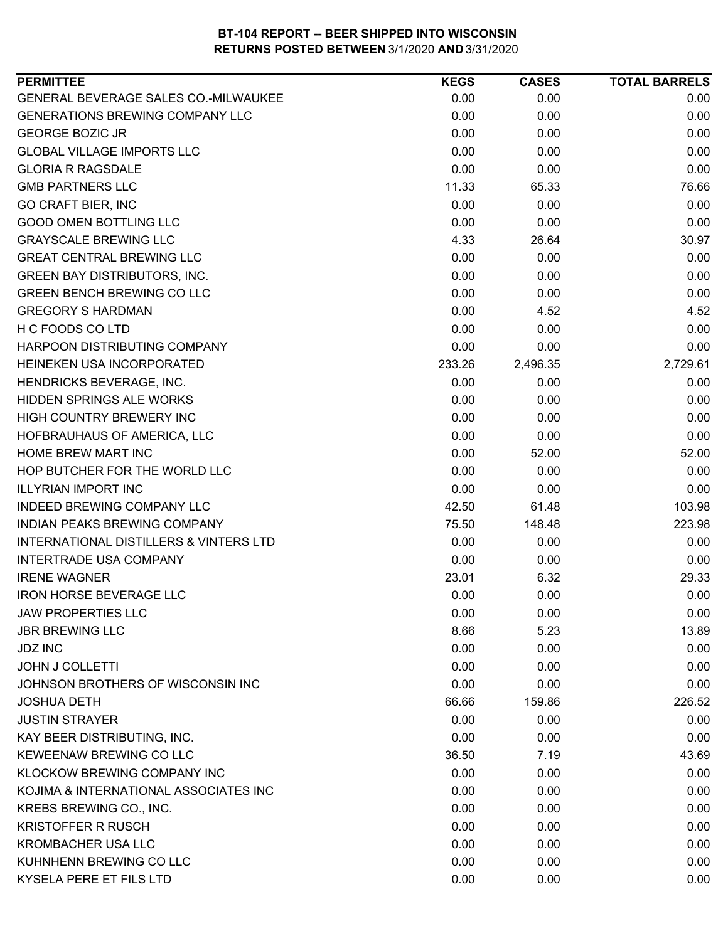| <b>PERMITTEE</b>                                  | <b>KEGS</b> | <b>CASES</b> | <b>TOTAL BARRELS</b> |
|---------------------------------------------------|-------------|--------------|----------------------|
| GENERAL BEVERAGE SALES CO.-MILWAUKEE              | 0.00        | 0.00         | 0.00                 |
| <b>GENERATIONS BREWING COMPANY LLC</b>            | 0.00        | 0.00         | 0.00                 |
| <b>GEORGE BOZIC JR</b>                            | 0.00        | 0.00         | 0.00                 |
| <b>GLOBAL VILLAGE IMPORTS LLC</b>                 | 0.00        | 0.00         | 0.00                 |
| <b>GLORIA R RAGSDALE</b>                          | 0.00        | 0.00         | 0.00                 |
| <b>GMB PARTNERS LLC</b>                           | 11.33       | 65.33        | 76.66                |
| <b>GO CRAFT BIER, INC</b>                         | 0.00        | 0.00         | 0.00                 |
| <b>GOOD OMEN BOTTLING LLC</b>                     | 0.00        | 0.00         | 0.00                 |
| <b>GRAYSCALE BREWING LLC</b>                      | 4.33        | 26.64        | 30.97                |
| <b>GREAT CENTRAL BREWING LLC</b>                  | 0.00        | 0.00         | 0.00                 |
| <b>GREEN BAY DISTRIBUTORS, INC.</b>               | 0.00        | 0.00         | 0.00                 |
| <b>GREEN BENCH BREWING CO LLC</b>                 | 0.00        | 0.00         | 0.00                 |
| <b>GREGORY S HARDMAN</b>                          | 0.00        | 4.52         | 4.52                 |
| H C FOODS CO LTD                                  | 0.00        | 0.00         | 0.00                 |
| HARPOON DISTRIBUTING COMPANY                      | 0.00        | 0.00         | 0.00                 |
| HEINEKEN USA INCORPORATED                         | 233.26      | 2,496.35     | 2,729.61             |
| HENDRICKS BEVERAGE, INC.                          | 0.00        | 0.00         | 0.00                 |
| HIDDEN SPRINGS ALE WORKS                          | 0.00        | 0.00         | 0.00                 |
| HIGH COUNTRY BREWERY INC                          | 0.00        | 0.00         | 0.00                 |
| HOFBRAUHAUS OF AMERICA, LLC                       | 0.00        | 0.00         | 0.00                 |
| <b>HOME BREW MART INC</b>                         | 0.00        | 52.00        | 52.00                |
| HOP BUTCHER FOR THE WORLD LLC                     | 0.00        | 0.00         | 0.00                 |
| <b>ILLYRIAN IMPORT INC</b>                        | 0.00        | 0.00         | 0.00                 |
| INDEED BREWING COMPANY LLC                        | 42.50       | 61.48        | 103.98               |
| INDIAN PEAKS BREWING COMPANY                      | 75.50       | 148.48       | 223.98               |
| <b>INTERNATIONAL DISTILLERS &amp; VINTERS LTD</b> | 0.00        | 0.00         | 0.00                 |
| <b>INTERTRADE USA COMPANY</b>                     | 0.00        | 0.00         | 0.00                 |
| <b>IRENE WAGNER</b>                               | 23.01       | 6.32         | 29.33                |
| <b>IRON HORSE BEVERAGE LLC</b>                    | 0.00        | 0.00         | 0.00                 |
| <b>JAW PROPERTIES LLC</b>                         | 0.00        | 0.00         | 0.00                 |
| <b>JBR BREWING LLC</b>                            | 8.66        | 5.23         | 13.89                |
| <b>JDZ INC</b>                                    | 0.00        | 0.00         | 0.00                 |
| <b>JOHN J COLLETTI</b>                            | 0.00        | 0.00         | 0.00                 |
| JOHNSON BROTHERS OF WISCONSIN INC                 | 0.00        | 0.00         | 0.00                 |
| <b>JOSHUA DETH</b>                                | 66.66       | 159.86       | 226.52               |
| <b>JUSTIN STRAYER</b>                             | 0.00        | 0.00         | 0.00                 |
| KAY BEER DISTRIBUTING, INC.                       | 0.00        | 0.00         | 0.00                 |
| KEWEENAW BREWING CO LLC                           | 36.50       | 7.19         | 43.69                |
| KLOCKOW BREWING COMPANY INC                       | 0.00        | 0.00         | 0.00                 |
| KOJIMA & INTERNATIONAL ASSOCIATES INC             | 0.00        | 0.00         | 0.00                 |
| KREBS BREWING CO., INC.                           | 0.00        | 0.00         | 0.00                 |
| <b>KRISTOFFER R RUSCH</b>                         | 0.00        | 0.00         | 0.00                 |
| <b>KROMBACHER USA LLC</b>                         | 0.00        | 0.00         | 0.00                 |
| KUHNHENN BREWING CO LLC                           | 0.00        | 0.00         | 0.00                 |
| KYSELA PERE ET FILS LTD                           | 0.00        | 0.00         | 0.00                 |
|                                                   |             |              |                      |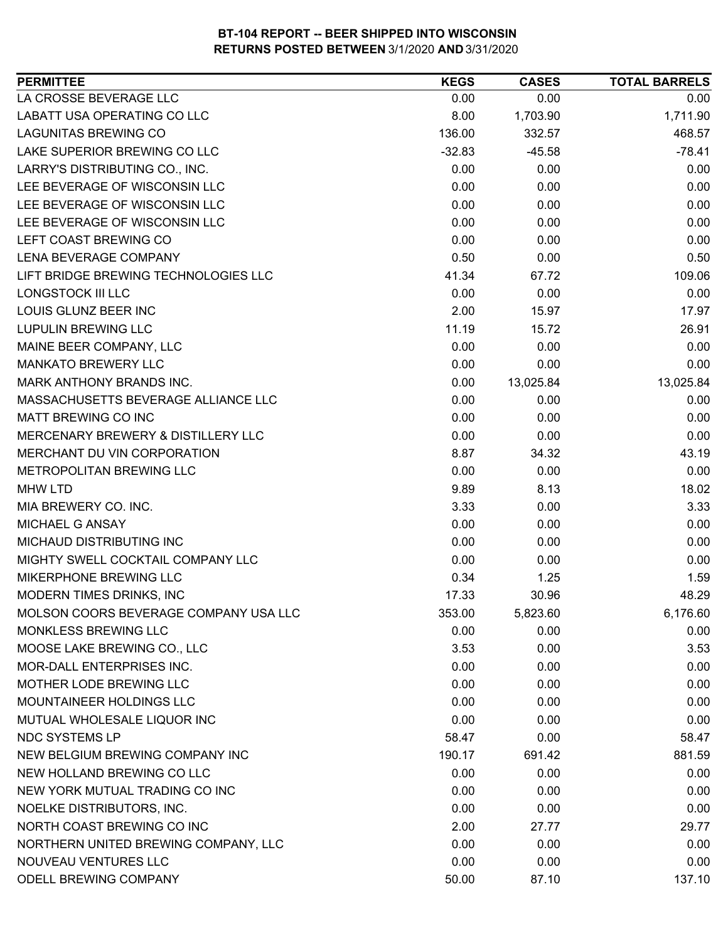| <b>PERMITTEE</b>                      | <b>KEGS</b> | <b>CASES</b> | <b>TOTAL BARRELS</b> |
|---------------------------------------|-------------|--------------|----------------------|
| LA CROSSE BEVERAGE LLC                | 0.00        | 0.00         | 0.00                 |
| LABATT USA OPERATING CO LLC           | 8.00        | 1,703.90     | 1,711.90             |
| <b>LAGUNITAS BREWING CO</b>           | 136.00      | 332.57       | 468.57               |
| LAKE SUPERIOR BREWING CO LLC          | $-32.83$    | $-45.58$     | $-78.41$             |
| LARRY'S DISTRIBUTING CO., INC.        | 0.00        | 0.00         | 0.00                 |
| LEE BEVERAGE OF WISCONSIN LLC         | 0.00        | 0.00         | 0.00                 |
| LEE BEVERAGE OF WISCONSIN LLC         | 0.00        | 0.00         | 0.00                 |
| LEE BEVERAGE OF WISCONSIN LLC         | 0.00        | 0.00         | 0.00                 |
| LEFT COAST BREWING CO                 | 0.00        | 0.00         | 0.00                 |
| <b>LENA BEVERAGE COMPANY</b>          | 0.50        | 0.00         | 0.50                 |
| LIFT BRIDGE BREWING TECHNOLOGIES LLC  | 41.34       | 67.72        | 109.06               |
| <b>LONGSTOCK III LLC</b>              | 0.00        | 0.00         | 0.00                 |
| LOUIS GLUNZ BEER INC                  | 2.00        | 15.97        | 17.97                |
| <b>LUPULIN BREWING LLC</b>            | 11.19       | 15.72        | 26.91                |
| MAINE BEER COMPANY, LLC               | 0.00        | 0.00         | 0.00                 |
| <b>MANKATO BREWERY LLC</b>            | 0.00        | 0.00         | 0.00                 |
| MARK ANTHONY BRANDS INC.              | 0.00        | 13,025.84    | 13,025.84            |
| MASSACHUSETTS BEVERAGE ALLIANCE LLC   | 0.00        | 0.00         | 0.00                 |
| MATT BREWING CO INC                   | 0.00        | 0.00         | 0.00                 |
| MERCENARY BREWERY & DISTILLERY LLC    | 0.00        | 0.00         | 0.00                 |
| MERCHANT DU VIN CORPORATION           | 8.87        | 34.32        | 43.19                |
| METROPOLITAN BREWING LLC              | 0.00        | 0.00         | 0.00                 |
| <b>MHW LTD</b>                        | 9.89        | 8.13         | 18.02                |
| MIA BREWERY CO. INC.                  | 3.33        | 0.00         | 3.33                 |
| MICHAEL G ANSAY                       | 0.00        | 0.00         | 0.00                 |
| MICHAUD DISTRIBUTING INC              | 0.00        | 0.00         | 0.00                 |
| MIGHTY SWELL COCKTAIL COMPANY LLC     | 0.00        | 0.00         | 0.00                 |
| MIKERPHONE BREWING LLC                | 0.34        | 1.25         | 1.59                 |
| MODERN TIMES DRINKS, INC              | 17.33       | 30.96        | 48.29                |
| MOLSON COORS BEVERAGE COMPANY USA LLC | 353.00      | 5,823.60     | 6,176.60             |
| MONKLESS BREWING LLC                  | 0.00        | 0.00         | 0.00                 |
| MOOSE LAKE BREWING CO., LLC           | 3.53        | 0.00         | 3.53                 |
| MOR-DALL ENTERPRISES INC.             | 0.00        | 0.00         | 0.00                 |
| MOTHER LODE BREWING LLC               | 0.00        | 0.00         | 0.00                 |
| MOUNTAINEER HOLDINGS LLC              | 0.00        | 0.00         | 0.00                 |
| MUTUAL WHOLESALE LIQUOR INC           | 0.00        | 0.00         | 0.00                 |
| <b>NDC SYSTEMS LP</b>                 | 58.47       | 0.00         | 58.47                |
| NEW BELGIUM BREWING COMPANY INC       | 190.17      | 691.42       | 881.59               |
| NEW HOLLAND BREWING CO LLC            | 0.00        | 0.00         | 0.00                 |
| NEW YORK MUTUAL TRADING CO INC        | 0.00        | 0.00         | 0.00                 |
| NOELKE DISTRIBUTORS, INC.             | 0.00        | 0.00         | 0.00                 |
| NORTH COAST BREWING CO INC            | 2.00        | 27.77        | 29.77                |
| NORTHERN UNITED BREWING COMPANY, LLC  | 0.00        | 0.00         | 0.00                 |
| NOUVEAU VENTURES LLC                  | 0.00        | 0.00         | 0.00                 |
| ODELL BREWING COMPANY                 | 50.00       | 87.10        | 137.10               |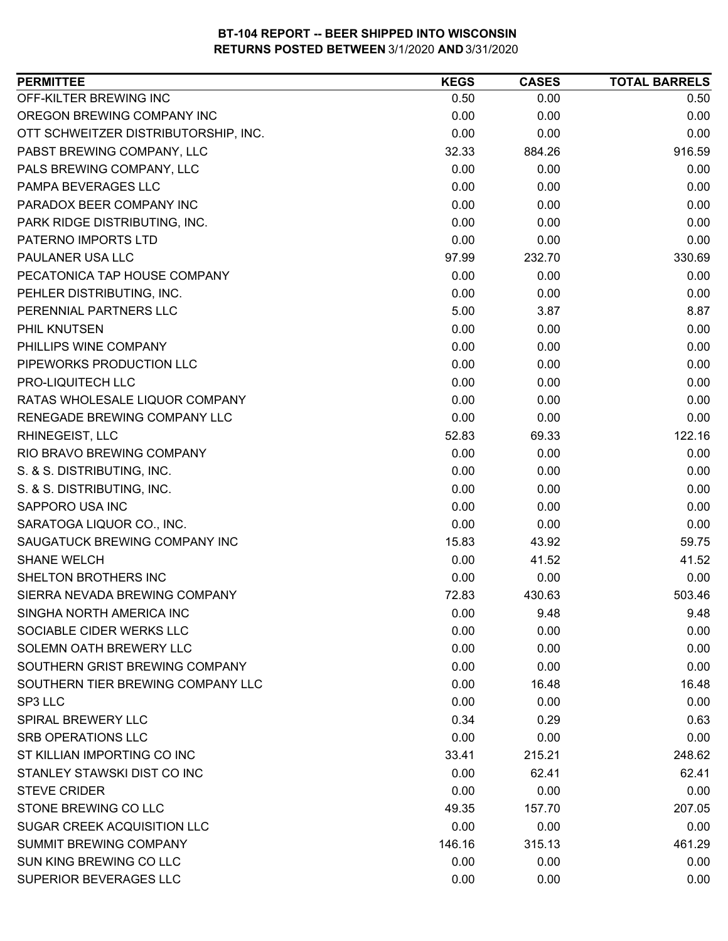| <b>PERMITTEE</b>                     | <b>KEGS</b> | <b>CASES</b> | <b>TOTAL BARRELS</b> |
|--------------------------------------|-------------|--------------|----------------------|
| OFF-KILTER BREWING INC               | 0.50        | 0.00         | 0.50                 |
| OREGON BREWING COMPANY INC           | 0.00        | 0.00         | 0.00                 |
| OTT SCHWEITZER DISTRIBUTORSHIP, INC. | 0.00        | 0.00         | 0.00                 |
| PABST BREWING COMPANY, LLC           | 32.33       | 884.26       | 916.59               |
| PALS BREWING COMPANY, LLC            | 0.00        | 0.00         | 0.00                 |
| PAMPA BEVERAGES LLC                  | 0.00        | 0.00         | 0.00                 |
| PARADOX BEER COMPANY INC             | 0.00        | 0.00         | 0.00                 |
| PARK RIDGE DISTRIBUTING, INC.        | 0.00        | 0.00         | 0.00                 |
| PATERNO IMPORTS LTD                  | 0.00        | 0.00         | 0.00                 |
| PAULANER USA LLC                     | 97.99       | 232.70       | 330.69               |
| PECATONICA TAP HOUSE COMPANY         | 0.00        | 0.00         | 0.00                 |
| PEHLER DISTRIBUTING, INC.            | 0.00        | 0.00         | 0.00                 |
| PERENNIAL PARTNERS LLC               | 5.00        | 3.87         | 8.87                 |
| PHIL KNUTSEN                         | 0.00        | 0.00         | 0.00                 |
| PHILLIPS WINE COMPANY                | 0.00        | 0.00         | 0.00                 |
| PIPEWORKS PRODUCTION LLC             | 0.00        | 0.00         | 0.00                 |
| PRO-LIQUITECH LLC                    | 0.00        | 0.00         | 0.00                 |
| RATAS WHOLESALE LIQUOR COMPANY       | 0.00        | 0.00         | 0.00                 |
| RENEGADE BREWING COMPANY LLC         | 0.00        | 0.00         | 0.00                 |
| RHINEGEIST, LLC                      | 52.83       | 69.33        | 122.16               |
| RIO BRAVO BREWING COMPANY            | 0.00        | 0.00         | 0.00                 |
| S. & S. DISTRIBUTING, INC.           | 0.00        | 0.00         | 0.00                 |
| S. & S. DISTRIBUTING, INC.           | 0.00        | 0.00         | 0.00                 |
| SAPPORO USA INC                      | 0.00        | 0.00         | 0.00                 |
| SARATOGA LIQUOR CO., INC.            | 0.00        | 0.00         | 0.00                 |
| SAUGATUCK BREWING COMPANY INC        | 15.83       | 43.92        | 59.75                |
| <b>SHANE WELCH</b>                   | 0.00        | 41.52        | 41.52                |
| SHELTON BROTHERS INC                 | 0.00        | 0.00         | 0.00                 |
| SIERRA NEVADA BREWING COMPANY        | 72.83       | 430.63       | 503.46               |
| SINGHA NORTH AMERICA INC             | 0.00        | 9.48         | 9.48                 |
| SOCIABLE CIDER WERKS LLC             | 0.00        | 0.00         | 0.00                 |
| SOLEMN OATH BREWERY LLC              | 0.00        | 0.00         | 0.00                 |
| SOUTHERN GRIST BREWING COMPANY       | 0.00        | 0.00         | 0.00                 |
| SOUTHERN TIER BREWING COMPANY LLC    | 0.00        | 16.48        | 16.48                |
| SP3 LLC                              | 0.00        | 0.00         | 0.00                 |
| <b>SPIRAL BREWERY LLC</b>            | 0.34        | 0.29         | 0.63                 |
| <b>SRB OPERATIONS LLC</b>            | 0.00        | 0.00         | 0.00                 |
| ST KILLIAN IMPORTING CO INC          | 33.41       | 215.21       | 248.62               |
| STANLEY STAWSKI DIST CO INC          | 0.00        | 62.41        | 62.41                |
| <b>STEVE CRIDER</b>                  | 0.00        | 0.00         | 0.00                 |
| STONE BREWING CO LLC                 | 49.35       | 157.70       | 207.05               |
| SUGAR CREEK ACQUISITION LLC          | 0.00        | 0.00         | 0.00                 |
| SUMMIT BREWING COMPANY               | 146.16      | 315.13       | 461.29               |
| SUN KING BREWING CO LLC              | 0.00        | 0.00         | 0.00                 |
| SUPERIOR BEVERAGES LLC               | 0.00        | 0.00         | 0.00                 |
|                                      |             |              |                      |